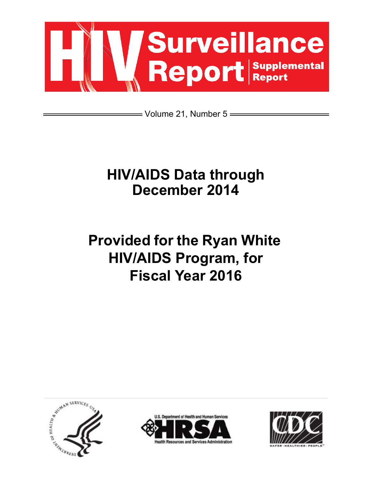

= Volume 21, Number 5 =

## **HIV/AIDS Data through December 2014**

# **Provided for the Ryan White HIV/AIDS Program, for Fiscal Year 2016**





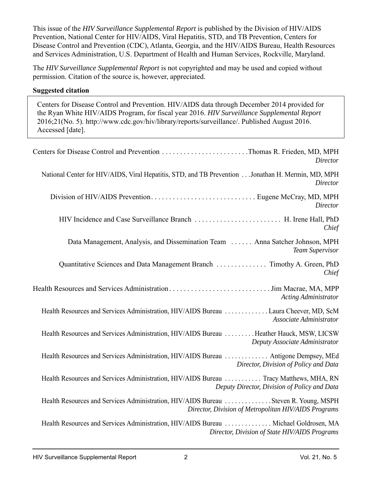This issue of the *HIV Surveillance Supplemental Report* is published by the Division of HIV/AIDS Prevention, National Center for HIV/AIDS, Viral Hepatitis, STD, and TB Prevention, Centers for Disease Control and Prevention (CDC), Atlanta, Georgia, and the HIV/AIDS Bureau, Health Resources and Services Administration, U.S. Department of Health and Human Services, Rockville, Maryland.

The *HIV Surveillance Supplemental Report* is not copyrighted and may be used and copied without permission. Citation of the source is, however, appreciated.

#### **Suggested citation**

Centers for Disease Control and Prevention. HIV/AIDS data through December 2014 provided for the Ryan White HIV/AIDS Program, for fiscal year 2016. *HIV Surveillance Supplemental Report*  2016;21(No. 5[\). http://www.cdc.gov/hiv/library/reports/surveillance/. Published](http://www.cdc.gov/hiv/library/reports/surveillance/) August 2016. Accessed [date].

| <i>Director</i>                                                                                                                             |
|---------------------------------------------------------------------------------------------------------------------------------------------|
| National Center for HIV/AIDS, Viral Hepatitis, STD, and TB Prevention Jonathan H. Mermin, MD, MPH<br><i>Director</i>                        |
| <b>Director</b>                                                                                                                             |
| HIV Incidence and Case Surveillance Branch  H. Irene Hall, PhD<br>Chief                                                                     |
| Data Management, Analysis, and Dissemination Team  Anna Satcher Johnson, MPH<br><b>Team Supervisor</b>                                      |
| Quantitative Sciences and Data Management Branch  Timothy A. Green, PhD<br>Chief                                                            |
| <b>Acting Administrator</b>                                                                                                                 |
| Health Resources and Services Administration, HIV/AIDS Bureau Laura Cheever, MD, ScM<br>Associate Administrator                             |
| Health Resources and Services Administration, HIV/AIDS Bureau Heather Hauck, MSW, LICSW<br>Deputy Associate Administrator                   |
| Health Resources and Services Administration, HIV/AIDS Bureau  Antigone Dempsey, MEd<br>Director, Division of Policy and Data               |
| Health Resources and Services Administration, HIV/AIDS Bureau  Tracy Matthews, MHA, RN<br>Deputy Director, Division of Policy and Data      |
| Health Resources and Services Administration, HIV/AIDS Bureau Steven R. Young, MSPH<br>Director, Division of Metropolitan HIV/AIDS Programs |
| Health Resources and Services Administration, HIV/AIDS Bureau  Michael Goldrosen, MA<br>Director, Division of State HIV/AIDS Programs       |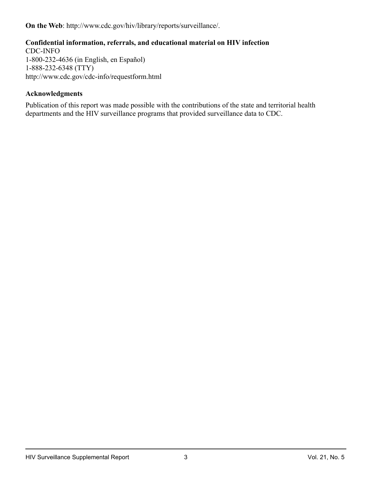**On the Web**[: http://www.cdc.gov/hiv/library/reports/surveillance/.](http://www.cdc.gov/hiv/library/reports/surveillance/)

## **Confidential information, referrals, and educational material on HIV infection**

CDC-INFO 1-800-232-4636 (in English, en Español) 1-888-232-6348 (TTY) <http://www.cdc.gov/cdc-info/requestform.html>

#### **Acknowledgments**

Publication of this report was made possible with the contributions of the state and territorial health departments and the HIV surveillance programs that provided surveillance data to CDC.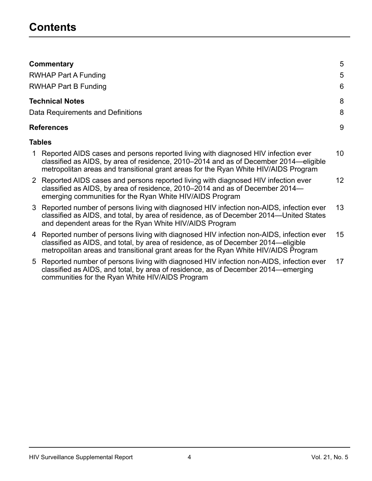|                | Commentary                                                                                                                                                                                                                                                          | 5                |
|----------------|---------------------------------------------------------------------------------------------------------------------------------------------------------------------------------------------------------------------------------------------------------------------|------------------|
|                | <b>RWHAP Part A Funding</b>                                                                                                                                                                                                                                         | 5                |
|                | <b>RWHAP Part B Funding</b>                                                                                                                                                                                                                                         | 6                |
|                | <b>Technical Notes</b>                                                                                                                                                                                                                                              | 8                |
|                | Data Requirements and Definitions                                                                                                                                                                                                                                   | 8                |
|                | References                                                                                                                                                                                                                                                          | 9                |
|                | Tables                                                                                                                                                                                                                                                              |                  |
|                | Reported AIDS cases and persons reported living with diagnosed HIV infection ever<br>classified as AIDS, by area of residence, 2010–2014 and as of December 2014—eligible<br>metropolitan areas and transitional grant areas for the Ryan White HIV/AIDS Program    | 10 <sup>°</sup>  |
| 2 <sup>1</sup> | Reported AIDS cases and persons reported living with diagnosed HIV infection ever<br>classified as AIDS, by area of residence, 2010–2014 and as of December 2014–<br>emerging communities for the Ryan White HIV/AIDS Program                                       | 12 <sup>°</sup>  |
| 3              | Reported number of persons living with diagnosed HIV infection non-AIDS, infection ever<br>classified as AIDS, and total, by area of residence, as of December 2014—United States<br>and dependent areas for the Ryan White HIV/AIDS Program                        | 13 <sup>°</sup>  |
| 4              | Reported number of persons living with diagnosed HIV infection non-AIDS, infection ever<br>classified as AIDS, and total, by area of residence, as of December 2014—eligible<br>metropolitan areas and transitional grant areas for the Ryan White HIV/AIDS Program | 15 <sup>15</sup> |
| 5              | Reported number of persons living with diagnosed HIV infection non-AIDS, infection ever<br>classified as AIDS, and total, by area of residence, as of December 2014—emerging                                                                                        | 17               |

[communities for the Ryan White HIV/AIDS Program](#page-16-0)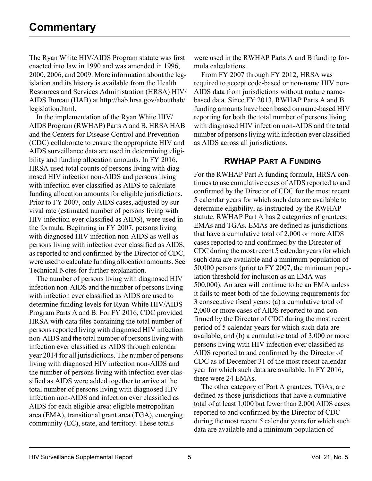<span id="page-4-1"></span>[The Ryan White HIV/AIDS Program statute was first](http://hab.hrsa.gov/abouthab/legislation.html)  enacted into law in 1990 and was amended in 1996, 2000, 2006, and 2009. More information about the legislation and its history is available from the Health Resources and Services Administration (HRSA) HIV/ AIDS Bureau (HAB) at http://hab.hrsa.gov/abouthab/ legislation.html.

In the implementation of the Ryan White HIV/ AIDS Program (RWHAP) Parts A and B, HRSA HAB and the Centers for Disease Control and Prevention (CDC) collaborate to ensure the appropriate HIV and AIDS surveillance data are used in determining eligibility and funding allocation amounts. In FY 2016, HRSA used total counts of persons living with diagnosed HIV infection non-AIDS and persons living with infection ever classified as AIDS to calculate funding allocation amounts for eligible jurisdictions. Prior to FY 2007, only AIDS cases, adjusted by survival rate (estimated number of persons living with HIV infection ever classified as AIDS), were used in the formula. Beginning in FY 2007, persons living with diagnosed HIV infection non-AIDS as well as persons living with infection ever classified as AIDS, as reported to and confirmed by the Director of CDC, were used to calculate funding allocation amounts. See Technical Notes for further explanation.

The number of persons living with diagnosed HIV infection non-AIDS and the number of persons living with infection ever classified as AIDS are used to determine funding levels for Ryan White HIV/AIDS Program Parts A and B. For FY 2016, CDC provided HRSA with data files containing the total number of persons reported living with diagnosed HIV infection non-AIDS and the total number of persons living with infection ever classified as AIDS through calendar year 2014 for all jurisdictions. The number of persons living with diagnosed HIV infection non-AIDS and the number of persons living with infection ever classified as AIDS were added together to arrive at the total number of persons living with diagnosed HIV infection non-AIDS and infection ever classified as AIDS for each eligible area: eligible metropolitan area (EMA), transitional grant area (TGA), emerging community (EC), state, and territory. These totals

were used in the RWHAP Parts A and B funding formula calculations.

From FY 2007 through FY 2012, HRSA was required to accept code-based or non-name HIV non-AIDS data from jurisdictions without mature namebased data. Since FY 2013, RWHAP Parts A and B funding amounts have been based on name-based HIV reporting for both the total number of persons living with diagnosed HIV infection non-AIDS and the total number of persons living with infection ever classified as AIDS across all jurisdictions.

## **RWHAP PART A FUNDING**

<span id="page-4-0"></span>For the RWHAP Part A funding formula, HRSA continues to use cumulative cases of AIDS reported to and confirmed by the Director of CDC for the most recent 5 calendar years for which such data are available to determine eligibility, as instructed by the RWHAP statute. RWHAP Part A has 2 categories of grantees: EMAs and TGAs. EMAs are defined as jurisdictions that have a cumulative total of 2,000 or more AIDS cases reported to and confirmed by the Director of CDC during the most recent 5 calendar years for which such data are available and a minimum population of 50,000 persons (prior to FY 2007, the minimum population threshold for inclusion as an EMA was 500,000). An area will continue to be an EMA unless it fails to meet both of the following requirements for 3 consecutive fiscal years: (a) a cumulative total of 2,000 or more cases of AIDS reported to and confirmed by the Director of CDC during the most recent period of 5 calendar years for which such data are available, and (b) a cumulative total of 3,000 or more persons living with HIV infection ever classified as AIDS reported to and confirmed by the Director of CDC as of December 31 of the most recent calendar year for which such data are available. In FY 2016, there were 24 EMAs.

The other category of Part A grantees, TGAs, are defined as those jurisdictions that have a cumulative total of at least 1,000 but fewer than 2,000 AIDS cases reported to and confirmed by the Director of CDC during the most recent 5 calendar years for which such data are available and a minimum population of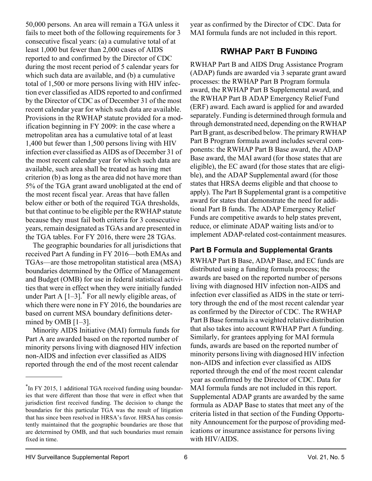50,000 persons. An area will remain a TGA unless it fails to meet both of the following requirements for 3 consecutive fiscal years: (a) a cumulative total of at least 1,000 but fewer than 2,000 cases of AIDS reported to and confirmed by the Director of CDC during the most recent period of 5 calendar years for which such data are available, and (b) a cumulative total of 1,500 or more persons living with HIV infection ever classified as AIDS reported to and confirmed by the Director of CDC as of December 31 of the most recent calendar year for which such data are available. Provisions in the RWHAP statute provided for a modification beginning in FY 2009: in the case where a metropolitan area has a cumulative total of at least 1,400 but fewer than 1,500 persons living with HIV infection ever classified as AIDS as of December 31 of the most recent calendar year for which such data are available, such area shall be treated as having met criterion (b) as long as the area did not have more than 5% of the TGA grant award unobligated at the end of the most recent fiscal year. Areas that have fallen below either or both of the required TGA thresholds, but that continue to be eligible per the RWHAP statute because they must fail both criteria for 3 consecutive years, remain designated as TGAs and are presented in the TGA tables. For FY 2016, there were 28 TGAs.

The geographic boundaries for all jurisdictions that received Part A funding in FY 2016—both EMAs and TGAs—are those metropolitan statistical area (MSA) boundaries determined by the Office of Management and Budget (OMB) for use in federal statistical activities that were in effect when they were initially funded under Part A  $\left[1-3\right]$ .<sup>\*</sup> For all newly eligible areas, of which there were none in FY 2016, the boundaries are based on current MSA boundary definitions determined by OMB [1–3].

Minority AIDS Initiative (MAI) formula funds for Part A are awarded based on the reported number of minority persons living with diagnosed HIV infection non-AIDS and infection ever classified as AIDS reported through the end of the most recent calendar

year as confirmed by the Director of CDC. Data for MAI formula funds are not included in this report.

## **RWHAP PART B FUNDING**

<span id="page-5-0"></span>RWHAP Part B and AIDS Drug Assistance Program (ADAP) funds are awarded via 3 separate grant award processes: the RWHAP Part B Program formula award, the RWHAP Part B Supplemental award, and the RWHAP Part B ADAP Emergency Relief Fund (ERF) award. Each award is applied for and awarded separately. Funding is determined through formula and through demonstrated need, depending on the RWHAP Part B grant, as described below. The primary RWHAP Part B Program formula award includes several components: the RWHAP Part B Base award, the ADAP Base award, the MAI award (for those states that are eligible), the EC award (for those states that are eligible), and the ADAP Supplemental award (for those states that HRSA deems eligible and that choose to apply). The Part B Supplemental grant is a competitive award for states that demonstrate the need for additional Part B funds. The ADAP Emergency Relief Funds are competitive awards to help states prevent, reduce, or eliminate ADAP waiting lists and/or to implement ADAP-related cost-containment measures.

## **Part B Formula and Supplemental Grants**

RWHAP Part B Base, ADAP Base, and EC funds are distributed using a funding formula process; the awards are based on the reported number of persons living with diagnosed HIV infection non-AIDS and infection ever classified as AIDS in the state or territory through the end of the most recent calendar year as confirmed by the Director of CDC. The RWHAP Part B Base formula is a weighted relative distribution that also takes into account RWHAP Part A funding. Similarly, for grantees applying for MAI formula funds, awards are based on the reported number of minority persons living with diagnosed HIV infection non-AIDS and infection ever classified as AIDS reported through the end of the most recent calendar year as confirmed by the Director of CDC. Data for MAI formula funds are not included in this report. Supplemental ADAP grants are awarded by the same formula as ADAP Base to states that meet any of the criteria listed in that section of the Funding Opportunity Announcement for the purpose of providing medications or insurance assistance for persons living with HIV/AIDS.

<sup>\*</sup>In FY 2015, 1 additional TGA received funding using boundaries that were different than those that were in effect when that jurisdiction first received funding. The decision to change the boundaries for this particular TGA was the result of litigation that has since been resolved in HRSA's favor. HRSA has consistently maintained that the geographic boundaries are those that are determined by OMB, and that such boundaries must remain fixed in time.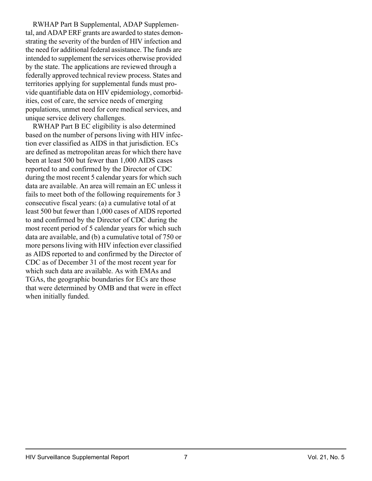RWHAP Part B Supplemental, ADAP Supplemental, and ADAP ERF grants are awarded to states demonstrating the severity of the burden of HIV infection and the need for additional federal assistance. The funds are intended to supplement the services otherwise provided by the state. The applications are reviewed through a federally approved technical review process. States and territories applying for supplemental funds must provide quantifiable data on HIV epidemiology, comorbidities, cost of care, the service needs of emerging populations, unmet need for core medical services, and unique service delivery challenges.

RWHAP Part B EC eligibility is also determined based on the number of persons living with HIV infection ever classified as AIDS in that jurisdiction. ECs are defined as metropolitan areas for which there have been at least 500 but fewer than 1,000 AIDS cases reported to and confirmed by the Director of CDC during the most recent 5 calendar years for which such data are available. An area will remain an EC unless it fails to meet both of the following requirements for 3 consecutive fiscal years: (a) a cumulative total of at least 500 but fewer than 1,000 cases of AIDS reported to and confirmed by the Director of CDC during the most recent period of 5 calendar years for which such data are available, and (b) a cumulative total of 750 or more persons living with HIV infection ever classified as AIDS reported to and confirmed by the Director of CDC as of December 31 of the most recent year for which such data are available. As with EMAs and TGAs, the geographic boundaries for ECs are those that were determined by OMB and that were in effect when initially funded.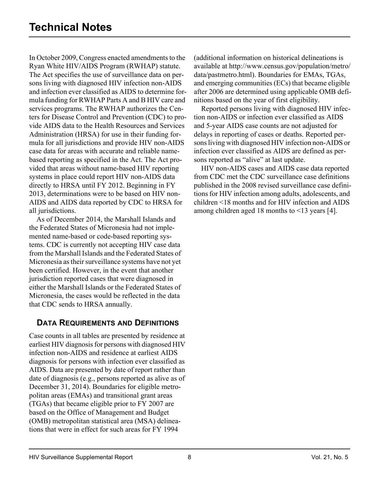<span id="page-7-1"></span>In October 2009, Congress enacted amendments to the Ryan White HIV/AIDS Program (RWHAP) statute. The Act specifies the use of surveillance data on persons living with diagnosed HIV infection non-AIDS and infection ever classified as AIDS to determine formula funding for RWHAP Parts A and B HIV care and services programs. The RWHAP authorizes the Centers for Disease Control and Prevention (CDC) to provide AIDS data to the Health Resources and Services Administration (HRSA) for use in their funding formula for all jurisdictions and provide HIV non-AIDS case data for areas with accurate and reliable namebased reporting as specified in the Act. The Act provided that areas without name-based HIV reporting systems in place could report HIV non-AIDS data directly to HRSA until FY 2012. Beginning in FY 2013, determinations were to be based on HIV non-AIDS and AIDS data reported by CDC to HRSA for all jurisdictions.

As of December 2014, the Marshall Islands and the Federated States of Micronesia had not implemented name-based or code-based reporting systems. CDC is currently not accepting HIV case data from the Marshall Islands and the Federated States of Micronesia as their surveillance systems have not yet been certified. However, in the event that another jurisdiction reported cases that were diagnosed in either the Marshall Islands or the Federated States of Micronesia, the cases would be reflected in the data that CDC sends to HRSA annually.

## <span id="page-7-0"></span>**DATA REQUIREMENTS AND DEFINITIONS**

[Case counts in all tables are presented by residence at](http://www.census.gov/population/metro/data/pastmetro.html)  earliest HIV diagnosis for persons with diagnosed HIV infection non-AIDS and residence at earliest AIDS diagnosis for persons with infection ever classified as AIDS. Data are presented by date of report rather than date of diagnosis (e.g., persons reported as alive as of December 31, 2014). Boundaries for eligible metropolitan areas (EMAs) and transitional grant areas (TGAs) that became eligible prior to FY 2007 are based on the Office of Management and Budget (OMB) metropolitan statistical area (MSA) delineations that were in effect for such areas for FY 1994

(additional information on historical delineations is [available at http://www.census.gov/population/metro/](http://www.census.gov/population/metro/data/pastmetro.html)  data/pastmetro.html). Boundaries for EMAs, TGAs, and emerging communities (ECs) that became eligible after 2006 are determined using applicable OMB definitions based on the year of first eligibility.

Reported persons living with diagnosed HIV infection non-AIDS or infection ever classified as AIDS and 5-year AIDS case counts are not adjusted for delays in reporting of cases or deaths. Reported persons living with diagnosed HIV infection non-AIDS or infection ever classified as AIDS are defined as persons reported as "alive" at last update.

HIV non-AIDS cases and AIDS case data reported from CDC met the CDC surveillance case definitions published in the 2008 revised surveillance case definitions for HIV infection among adults, adolescents, and children <18 months and for HIV infection and AIDS among children aged 18 months to <13 years [4].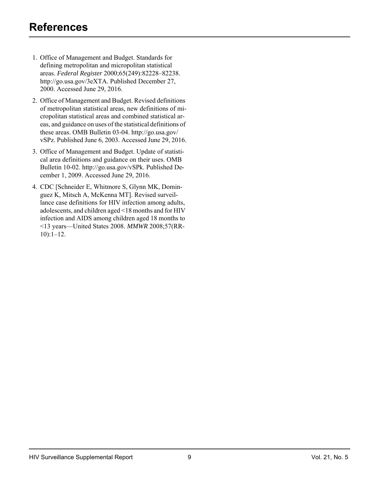- <span id="page-8-0"></span>1. Office of Management and Budget. Standards for defining metropolitan and micropolitan statistical areas. *Federal Register* 2000;65(249):82228–82238. [http://go.usa.gov/3eXTA. Published December 27,](http://go.usa.gov/3eXTA)  2000. Accessed June 29, 2016.
- 2. [Office of Management and Budget. Revised definitions](http://go.usa.gov/vSPz)  of metropolitan statistical areas, new definitions of micropolitan statistical areas and combined statistical areas, and guidance on uses of the statistical definitions of these areas. OMB Bulletin 03-04. http://go.usa.gov/ vSPz. Published June 6, 2003. Accessed June 29, 2016.
- 3. Office of Management and Budget. Update of statistical area definitions and guidance on their uses. OMB [Bulletin 10-02. http://go.usa.gov/vSPk. Published De](http://go.usa.gov/vSPk)cember 1, 2009. Accessed June 29, 2016.
- 4. CDC [Schneider E, Whitmore S, Glynn MK, Dominguez K, Mitsch A, McKenna MT]. Revised surveil[lance case definitions for HIV infection among adults,](http://www.cdc.gov/mmwr/preview/mmwrhtml/rr5710a1.htm)  adolescents, and children aged <18 months and for HIV infection and AIDS among children aged 18 months to <13 years—United States 2008. *MMWR* 2008;57(RR-10):1–12.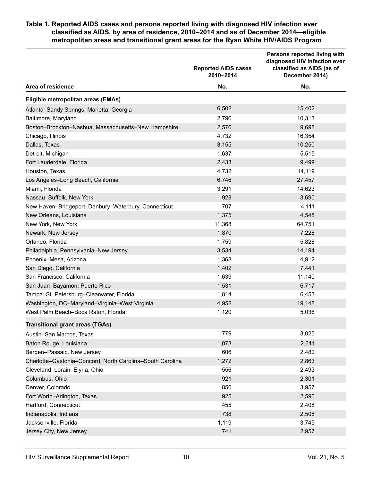#### <span id="page-9-0"></span>**Table 1. Reported AIDS cases and persons reported living with diagnosed HIV infection ever classified as AIDS, by area of residence, 2010–2014 and as of December 2014—eligible metropolitan areas and transitional grant areas for the Ryan White HIV/AIDS Program**

|                                                           | <b>Reported AIDS cases</b><br>2010-2014 | Persons reported living with<br>diagnosed HIV infection ever<br>classified as AIDS (as of<br>December 2014) |
|-----------------------------------------------------------|-----------------------------------------|-------------------------------------------------------------------------------------------------------------|
| Area of residence                                         | No.                                     | No.                                                                                                         |
| Eligible metropolitan areas (EMAs)                        |                                         |                                                                                                             |
| Atlanta-Sandy Springs-Marietta, Georgia                   | 6,502                                   | 15,402                                                                                                      |
| Baltimore, Maryland                                       | 2,796                                   | 10,313                                                                                                      |
| Boston-Brockton-Nashua, Massachusetts-New Hampshire       | 2,576                                   | 9,698                                                                                                       |
| Chicago, Illinois                                         | 4,732                                   | 16,354                                                                                                      |
| Dallas, Texas                                             | 3,155                                   | 10,250                                                                                                      |
| Detroit, Michigan                                         | 1,637                                   | 5,515                                                                                                       |
| Fort Lauderdale, Florida                                  | 2,433                                   | 9,499                                                                                                       |
| Houston, Texas                                            | 4,732                                   | 14,119                                                                                                      |
| Los Angeles-Long Beach, California                        | 6,746                                   | 27,457                                                                                                      |
| Miami, Florida                                            | 3,291                                   | 14,623                                                                                                      |
| Nassau-Suffolk, New York                                  | 928                                     | 3,690                                                                                                       |
| New Haven-Bridgeport-Danbury-Waterbury, Connecticut       | 707                                     | 4,111                                                                                                       |
| New Orleans, Louisiana                                    | 1,375                                   | 4,548                                                                                                       |
| New York, New York                                        | 11,368                                  | 64,751                                                                                                      |
| Newark, New Jersey                                        | 1,870                                   | 7,228                                                                                                       |
| Orlando, Florida                                          | 1,759                                   | 5,828                                                                                                       |
| Philadelphia, Pennsylvania-New Jersey                     | 3,534                                   | 14,194                                                                                                      |
| Phoenix-Mesa, Arizona                                     | 1,368                                   | 4,912                                                                                                       |
| San Diego, California                                     | 1,402                                   | 7,441                                                                                                       |
| San Francisco, California                                 | 1,639                                   | 11,140                                                                                                      |
| San Juan-Bayamon, Puerto Rico                             | 1,531                                   | 6,717                                                                                                       |
| Tampa-St. Petersburg-Clearwater, Florida                  | 1,814                                   | 6,453                                                                                                       |
| Washington, DC-Maryland-Virginia-West Virginia            | 4,952                                   | 19,148                                                                                                      |
| West Palm Beach-Boca Raton, Florida                       | 1,120                                   | 5,036                                                                                                       |
| <b>Transitional grant areas (TGAs)</b>                    |                                         |                                                                                                             |
| Austin-San Marcos, Texas                                  | 779                                     | 3,025                                                                                                       |
| Baton Rouge, Louisiana                                    | 1,073                                   | 2,611                                                                                                       |
| Bergen-Passaic, New Jersey                                | 606                                     | 2,480                                                                                                       |
| Charlotte-Gastonia-Concord, North Carolina-South Carolina | 1,272                                   | 2,863                                                                                                       |
| Cleveland-Lorain-Elyria, Ohio                             | 556                                     | 2,493                                                                                                       |
| Columbus, Ohio                                            | 921                                     | 2,301                                                                                                       |
| Denver, Colorado                                          | 850                                     | 3,957                                                                                                       |
| Fort Worth-Arlington, Texas                               | 925                                     | 2,590                                                                                                       |
| Hartford, Connecticut                                     | 455                                     | 2,408                                                                                                       |
| Indianapolis, Indiana                                     | 738                                     | 2,508                                                                                                       |
| Jacksonville, Florida                                     | 1,119                                   | 3,745                                                                                                       |
| Jersey City, New Jersey                                   | 741                                     | 2,957                                                                                                       |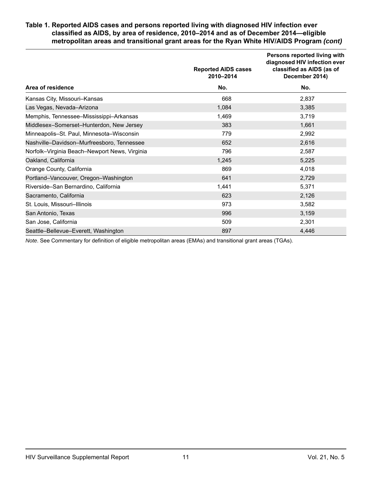#### **Table 1. Reported AIDS cases and persons reported living with diagnosed HIV infection ever classified as AIDS, by area of residence, 2010–2014 and as of December 2014—eligible metropolitan areas and transitional grant areas for the Ryan White HIV/AIDS Program** *(cont)*

|                                               | <b>Reported AIDS cases</b><br>2010-2014 | Persons reported living with<br>diagnosed HIV infection ever<br>classified as AIDS (as of<br>December 2014) |
|-----------------------------------------------|-----------------------------------------|-------------------------------------------------------------------------------------------------------------|
| Area of residence                             | No.                                     | No.                                                                                                         |
| Kansas City, Missouri-Kansas                  | 668                                     | 2,837                                                                                                       |
| Las Vegas, Nevada-Arizona                     | 1,084                                   | 3,385                                                                                                       |
| Memphis, Tennessee-Mississippi-Arkansas       | 1,469                                   | 3,719                                                                                                       |
| Middlesex-Somerset-Hunterdon, New Jersey      | 383                                     | 1,661                                                                                                       |
| Minneapolis-St. Paul, Minnesota-Wisconsin     | 779                                     | 2,992                                                                                                       |
| Nashville-Davidson-Murfreesboro, Tennessee    | 652                                     | 2,616                                                                                                       |
| Norfolk-Virginia Beach-Newport News, Virginia | 796                                     | 2,587                                                                                                       |
| Oakland, California                           | 1,245                                   | 5,225                                                                                                       |
| Orange County, California                     | 869                                     | 4,018                                                                                                       |
| Portland-Vancouver, Oregon-Washington         | 641                                     | 2,729                                                                                                       |
| Riverside-San Bernardino, California          | 1,441                                   | 5,371                                                                                                       |
| Sacramento, California                        | 623                                     | 2,126                                                                                                       |
| St. Louis, Missouri-Illinois                  | 973                                     | 3,582                                                                                                       |
| San Antonio, Texas                            | 996                                     | 3,159                                                                                                       |
| San Jose, California                          | 509                                     | 2,301                                                                                                       |
| Seattle-Bellevue-Everett, Washington          | 897                                     | 4,446                                                                                                       |

*Note*. See Commentary for definition of eligible metropolitan areas (EMAs) and transitional grant areas (TGAs).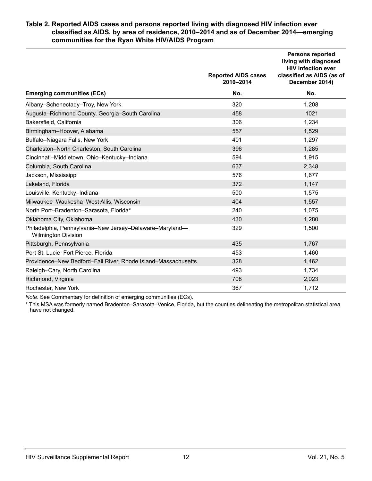#### <span id="page-11-0"></span>**Table 2. Reported AIDS cases and persons reported living with diagnosed HIV infection ever classified as AIDS, by area of residence, 2010–2014 and as of December 2014—emerging communities for the Ryan White HIV/AIDS Program**

|                                                                                        | <b>Reported AIDS cases</b><br>2010-2014 | <b>Persons reported</b><br>living with diagnosed<br><b>HIV infection ever</b><br>classified as AIDS (as of<br>December 2014) |
|----------------------------------------------------------------------------------------|-----------------------------------------|------------------------------------------------------------------------------------------------------------------------------|
| <b>Emerging communities (ECs)</b>                                                      | No.                                     | No.                                                                                                                          |
| Albany-Schenectady-Troy, New York                                                      | 320                                     | 1,208                                                                                                                        |
| Augusta-Richmond County, Georgia-South Carolina                                        | 458                                     | 1021                                                                                                                         |
| Bakersfield, California                                                                | 306                                     | 1,234                                                                                                                        |
| Birmingham-Hoover, Alabama                                                             | 557                                     | 1,529                                                                                                                        |
| Buffalo-Niagara Falls, New York                                                        | 401                                     | 1,297                                                                                                                        |
| Charleston-North Charleston, South Carolina                                            | 396                                     | 1,285                                                                                                                        |
| Cincinnati-Middletown, Ohio-Kentucky-Indiana                                           | 594                                     | 1,915                                                                                                                        |
| Columbia, South Carolina                                                               | 637                                     | 2,348                                                                                                                        |
| Jackson, Mississippi                                                                   | 576                                     | 1,677                                                                                                                        |
| Lakeland, Florida                                                                      | 372                                     | 1,147                                                                                                                        |
| Louisville, Kentucky-Indiana                                                           | 500                                     | 1,575                                                                                                                        |
| Milwaukee-Waukesha-West Allis, Wisconsin                                               | 404                                     | 1,557                                                                                                                        |
| North Port-Bradenton-Sarasota, Florida*                                                | 240                                     | 1,075                                                                                                                        |
| Oklahoma City, Oklahoma                                                                | 430                                     | 1,280                                                                                                                        |
| Philadelphia, Pennsylvania-New Jersey-Delaware-Maryland-<br><b>Wilmington Division</b> | 329                                     | 1,500                                                                                                                        |
| Pittsburgh, Pennsylvania                                                               | 435                                     | 1,767                                                                                                                        |
| Port St. Lucie-Fort Pierce, Florida                                                    | 453                                     | 1,460                                                                                                                        |
| Providence-New Bedford-Fall River, Rhode Island-Massachusetts                          | 328                                     | 1,462                                                                                                                        |
| Raleigh-Cary, North Carolina                                                           | 493                                     | 1,734                                                                                                                        |
| Richmond, Virginia                                                                     | 708                                     | 2,023                                                                                                                        |
| Rochester, New York                                                                    | 367                                     | 1,712                                                                                                                        |

*Note*. See Commentary for definition of emerging communities (ECs).

\* This MSA was formerly named Bradenton–Sarasota–Venice, Florida, but the counties delineating the metropolitan statistical area have not changed.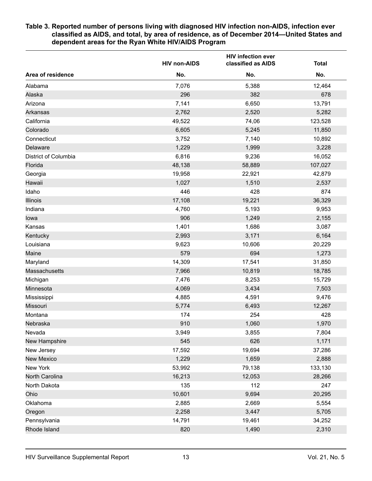#### <span id="page-12-0"></span>**Table 3. Reported number of persons living with diagnosed HIV infection non-AIDS, infection ever classified as AIDS, and total, by area of residence, as of December 2014—United States and dependent areas for the Ryan White HIV/AIDS Program**

|                      | <b>HIV non-AIDS</b> | <b>HIV infection ever</b><br>classified as AIDS | <b>Total</b> |
|----------------------|---------------------|-------------------------------------------------|--------------|
| Area of residence    | No.                 | No.                                             | No.          |
| Alabama              | 7,076               | 5,388                                           | 12,464       |
| Alaska               | 296                 | 382                                             | 678          |
| Arizona              | 7,141               | 6,650                                           | 13,791       |
| <b>Arkansas</b>      | 2,762               | 2,520                                           | 5,282        |
| California           | 49,522              | 74,06                                           | 123,528      |
| Colorado             | 6,605               | 5,245                                           | 11,850       |
| Connecticut          | 3,752               | 7,140                                           | 10,892       |
| Delaware             | 1,229               | 1,999                                           | 3,228        |
| District of Columbia | 6,816               | 9,236                                           | 16,052       |
| Florida              | 48,138              | 58,889                                          | 107,027      |
| Georgia              | 19,958              | 22,921                                          | 42,879       |
| Hawaii               | 1,027               | 1,510                                           | 2,537        |
| Idaho                | 446                 | 428                                             | 874          |
| <b>Illinois</b>      | 17,108              | 19,221                                          | 36,329       |
| Indiana              | 4,760               | 5,193                                           | 9,953        |
| lowa                 | 906                 | 1,249                                           | 2,155        |
| Kansas               | 1,401               | 1,686                                           | 3,087        |
| Kentucky             | 2,993               | 3,171                                           | 6,164        |
| Louisiana            | 9,623               | 10,606                                          | 20,229       |
| Maine                | 579                 | 694                                             | 1,273        |
| Maryland             | 14,309              | 17,541                                          | 31,850       |
| Massachusetts        | 7,966               | 10,819                                          | 18,785       |
| Michigan             | 7,476               | 8,253                                           | 15,729       |
| Minnesota            | 4,069               | 3,434                                           | 7,503        |
| Mississippi          | 4,885               | 4,591                                           | 9,476        |
| Missouri             | 5,774               | 6,493                                           | 12,267       |
| Montana              | 174                 | 254                                             | 428          |
| Nebraska             | 910                 | 1,060                                           | 1,970        |
| Nevada               | 3,949               | 3,855                                           | 7,804        |
| New Hampshire        | 545                 | 626                                             | 1,171        |
| New Jersey           | 17,592              | 19,694                                          | 37,286       |
| <b>New Mexico</b>    | 1,229               | 1,659                                           | 2,888        |
| New York             | 53,992              | 79,138                                          | 133,130      |
| North Carolina       | 16,213              | 12,053                                          | 28,266       |
| North Dakota         | 135                 | 112                                             | 247          |
| Ohio                 | 10,601              | 9,694                                           | 20,295       |
| Oklahoma             | 2,885               | 2,669                                           | 5,554        |
| Oregon               | 2,258               | 3,447                                           | 5,705        |
| Pennsylvania         | 14,791              | 19,461                                          | 34,252       |
| Rhode Island         | 820                 | 1,490                                           | 2,310        |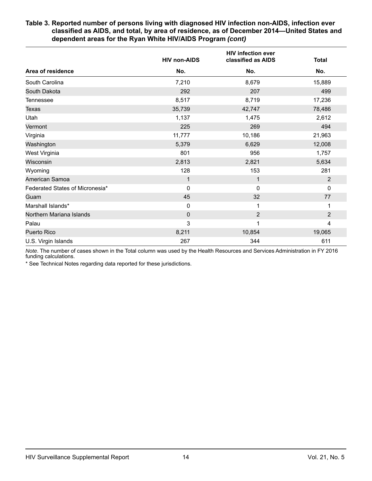#### **Table 3. Reported number of persons living with diagnosed HIV infection non-AIDS, infection ever classified as AIDS, and total, by area of residence, as of December 2014—United States and dependent areas for the Ryan White HIV/AIDS Program** *(cont)*

|                                 | <b>HIV non-AIDS</b> | <b>HIV infection ever</b><br>classified as AIDS | <b>Total</b>   |
|---------------------------------|---------------------|-------------------------------------------------|----------------|
| Area of residence               | No.                 | No.                                             | No.            |
| South Carolina                  | 7,210               | 8,679                                           | 15,889         |
| South Dakota                    | 292                 | 207                                             | 499            |
| Tennessee                       | 8,517               | 8,719                                           | 17,236         |
| <b>Texas</b>                    | 35,739              | 42,747                                          | 78,486         |
| Utah                            | 1,137               | 1,475                                           | 2,612          |
| Vermont                         | 225                 | 269                                             | 494            |
| Virginia                        | 11,777              | 10,186                                          | 21,963         |
| Washington                      | 5,379               | 6,629                                           | 12,008         |
| West Virginia                   | 801                 | 956                                             | 1,757          |
| Wisconsin                       | 2,813               | 2,821                                           | 5,634          |
| Wyoming                         | 128                 | 153                                             | 281            |
| American Samoa                  | 1                   | 1                                               | $\overline{2}$ |
| Federated States of Micronesia* | $\mathbf{0}$        | $\Omega$                                        | $\mathbf 0$    |
| Guam                            | 45                  | 32                                              | 77             |
| Marshall Islands*               | $\mathbf 0$         | 1                                               | 1              |
| Northern Mariana Islands        | $\mathbf 0$         | $\overline{2}$                                  | $\overline{2}$ |
| Palau                           | 3                   |                                                 | 4              |
| Puerto Rico                     | 8,211               | 10,854                                          | 19,065         |
| U.S. Virgin Islands             | 267                 | 344                                             | 611            |

*Note*. The number of cases shown in the Total column was used by the Health Resources and Services Administration in FY 2016 funding calculations.

\* See Technical Notes regarding data reported for these jurisdictions.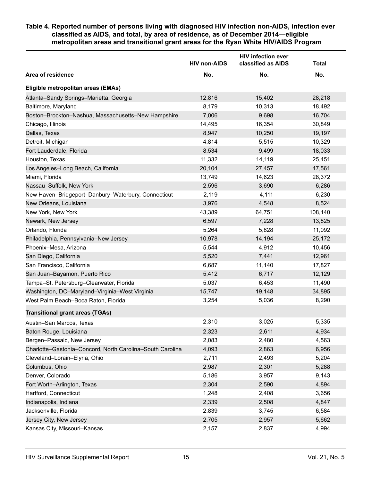#### <span id="page-14-0"></span>**Table 4. Reported number of persons living with diagnosed HIV infection non-AIDS, infection ever classified as AIDS, and total, by area of residence, as of December 2014—eligible metropolitan areas and transitional grant areas for the Ryan White HIV/AIDS Program**

|                                                           | <b>HIV non-AIDS</b> | <b>HIV infection ever</b><br>classified as AIDS | <b>Total</b> |
|-----------------------------------------------------------|---------------------|-------------------------------------------------|--------------|
| Area of residence                                         | No.                 | No.                                             | No.          |
| Eligible metropolitan areas (EMAs)                        |                     |                                                 |              |
| Atlanta-Sandy Springs-Marietta, Georgia                   | 12,816              | 15,402                                          | 28,218       |
| Baltimore, Maryland                                       | 8,179               | 10,313                                          | 18,492       |
| Boston-Brockton-Nashua, Massachusetts-New Hampshire       | 7,006               | 9,698                                           | 16,704       |
| Chicago, Illinois                                         | 14,495              | 16,354                                          | 30,849       |
| Dallas, Texas                                             | 8,947               | 10,250                                          | 19,197       |
| Detroit, Michigan                                         | 4,814               | 5,515                                           | 10,329       |
| Fort Lauderdale, Florida                                  | 8,534               | 9,499                                           | 18,033       |
| Houston, Texas                                            | 11,332              | 14,119                                          | 25,451       |
| Los Angeles-Long Beach, California                        | 20,104              | 27,457                                          | 47,561       |
| Miami, Florida                                            | 13,749              | 14,623                                          | 28,372       |
| Nassau-Suffolk, New York                                  | 2,596               | 3,690                                           | 6,286        |
| New Haven-Bridgeport-Danbury-Waterbury, Connecticut       | 2,119               | 4,111                                           | 6,230        |
| New Orleans, Louisiana                                    | 3,976               | 4,548                                           | 8,524        |
| New York, New York                                        | 43,389              | 64,751                                          | 108,140      |
| Newark, New Jersey                                        | 6,597               | 7,228                                           | 13,825       |
| Orlando, Florida                                          | 5,264               | 5,828                                           | 11,092       |
| Philadelphia, Pennsylvania-New Jersey                     | 10,978              | 14,194                                          | 25,172       |
| Phoenix-Mesa, Arizona                                     | 5,544               | 4,912                                           | 10,456       |
| San Diego, California                                     | 5,520               | 7,441                                           | 12,961       |
| San Francisco, California                                 | 6,687               | 11,140                                          | 17,827       |
| San Juan-Bayamon, Puerto Rico                             | 5,412               | 6,717                                           | 12,129       |
| Tampa-St. Petersburg-Clearwater, Florida                  | 5,037               | 6,453                                           | 11,490       |
| Washington, DC-Maryland-Virginia-West Virginia            | 15,747              | 19,148                                          | 34,895       |
| West Palm Beach-Boca Raton, Florida                       | 3,254               | 5,036                                           | 8,290        |
| <b>Transitional grant areas (TGAs)</b>                    |                     |                                                 |              |
| Austin-San Marcos, Texas                                  | 2,310               | 3,025                                           | 5,335        |
| Baton Rouge, Louisiana                                    | 2,323               | 2,611                                           | 4,934        |
| Bergen-Passaic, New Jersey                                | 2,083               | 2,480                                           | 4,563        |
| Charlotte-Gastonia-Concord, North Carolina-South Carolina | 4,093               | 2,863                                           | 6,956        |
| Cleveland-Lorain-Elyria, Ohio                             | 2,711               | 2,493                                           | 5,204        |
| Columbus, Ohio                                            | 2,987               | 2,301                                           | 5,288        |
| Denver, Colorado                                          | 5,186               | 3,957                                           | 9,143        |
| Fort Worth-Arlington, Texas                               | 2,304               | 2,590                                           | 4,894        |
| Hartford, Connecticut                                     | 1,248               | 2,408                                           | 3,656        |
| Indianapolis, Indiana                                     | 2,339               | 2,508                                           | 4,847        |
| Jacksonville, Florida                                     | 2,839               | 3,745                                           | 6,584        |
| Jersey City, New Jersey                                   | 2,705               | 2,957                                           | 5,662        |
| Kansas City, Missouri-Kansas                              | 2,157               | 2,837                                           | 4,994        |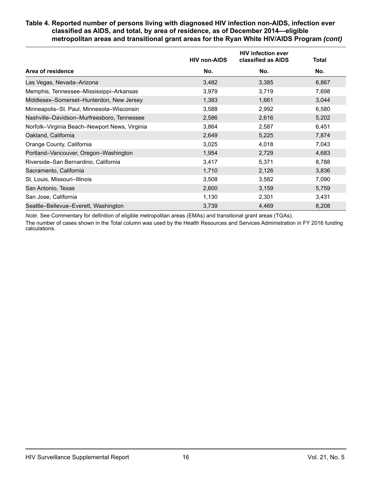#### **Table 4. Reported number of persons living with diagnosed HIV infection non-AIDS, infection ever classified as AIDS, and total, by area of residence, as of December 2014—eligible metropolitan areas and transitional grant areas for the Ryan White HIV/AIDS Program** *(cont)*

|                                               | <b>HIV non-AIDS</b> | <b>HIV infection ever</b><br>classified as AIDS | <b>Total</b> |
|-----------------------------------------------|---------------------|-------------------------------------------------|--------------|
| Area of residence                             | No.                 | No.                                             | No.          |
| Las Vegas, Nevada-Arizona                     | 3,482               | 3,385                                           | 6,867        |
| Memphis, Tennessee-Mississippi-Arkansas       | 3,979               | 3,719                                           | 7,698        |
| Middlesex-Somerset-Hunterdon, New Jersey      | 1,383               | 1,661                                           | 3,044        |
| Minneapolis-St. Paul, Minnesota-Wisconsin     | 3,588               | 2,992                                           | 6,580        |
| Nashville-Davidson-Murfreesboro, Tennessee    | 2,586               | 2,616                                           | 5,202        |
| Norfolk-Virginia Beach-Newport News, Virginia | 3,864               | 2,587                                           | 6,451        |
| Oakland, California                           | 2,649               | 5,225                                           | 7,874        |
| Orange County, California                     | 3,025               | 4,018                                           | 7,043        |
| Portland-Vancouver, Oregon-Washington         | 1,954               | 2,729                                           | 4,683        |
| Riverside-San Bernardino, California          | 3,417               | 5,371                                           | 8,788        |
| Sacramento, California                        | 1,710               | 2,126                                           | 3,836        |
| St. Louis, Missouri-Illinois                  | 3,508               | 3,582                                           | 7,090        |
| San Antonio, Texas                            | 2,600               | 3,159                                           | 5,759        |
| San Jose, California                          | 1,130               | 2,301                                           | 3,431        |
| Seattle-Bellevue-Everett, Washington          | 3,739               | 4,469                                           | 8,208        |

*Note*. See Commentary for definition of eligible metropolitan areas (EMAs) and transitional grant areas (TGAs).

The number of cases shown in the Total column was used by the Health Resources and Services Administration in FY 2016 funding calculations.